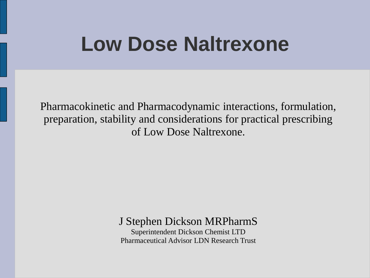#### **Low Dose Naltrexone**

Pharmacokinetic and Pharmacodynamic interactions, formulation, preparation, stability and considerations for practical prescribing of Low Dose Naltrexone.

#### J Stephen Dickson MRPharmS

Superintendent Dickson Chemist LTD Pharmaceutical Advisor LDN Research Trust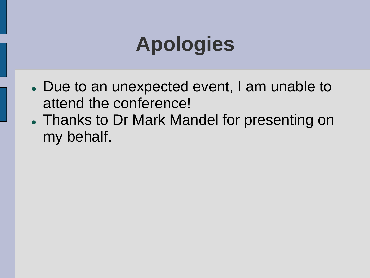# **Apologies**

- Due to an unexpected event, I am unable to attend the conference!
- Thanks to Dr Mark Mandel for presenting on my behalf.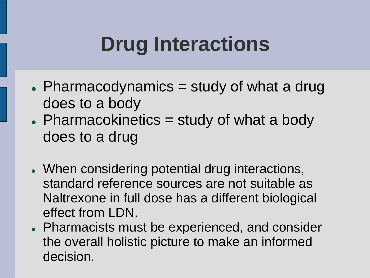- $\bullet$  Pharmacodynamics = study of what a drug does to a body
- Pharmacokinetics = study of what a body does to a drug
- When considering potential drug interactions, standard reference sources are not suitable as Naltrexone in full dose has a different biological effect from LDN.
- Pharmacists must be experienced, and consider the overall holistic picture to make an informed decision.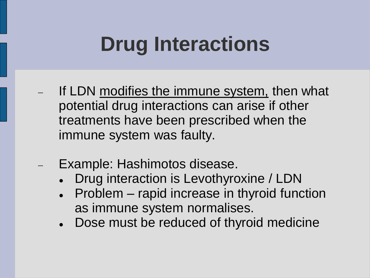- If LDN modifies the immune system, then what potential drug interactions can arise if other treatments have been prescribed when the immune system was faulty.
- Example: Hashimotos disease.
	- Drug interaction is Levothyroxine / LDN
	- Problem rapid increase in thyroid function as immune system normalises.
	- Dose must be reduced of thyroid medicine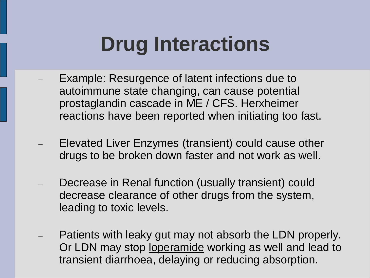- Example: Resurgence of latent infections due to autoimmune state changing, can cause potential prostaglandin cascade in ME / CFS. Herxheimer reactions have been reported when initiating too fast.
- Elevated Liver Enzymes (transient) could cause other drugs to be broken down faster and not work as well.
- Decrease in Renal function (usually transient) could decrease clearance of other drugs from the system, leading to toxic levels.
- Patients with leaky gut may not absorb the LDN properly. Or LDN may stop loperamide working as well and lead to transient diarrhoea, delaying or reducing absorption.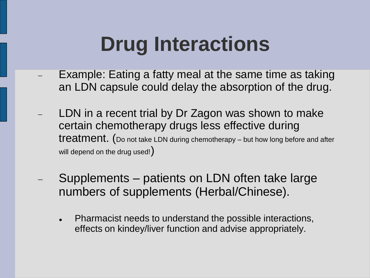- Example: Eating a fatty meal at the same time as taking an LDN capsule could delay the absorption of the drug.
- LDN in a recent trial by Dr Zagon was shown to make certain chemotherapy drugs less effective during treatment. (Do not take LDN during chemotherapy – but how long before and after will depend on the drug used!)
- Supplements patients on LDN often take large numbers of supplements (Herbal/Chinese).
	- Pharmacist needs to understand the possible interactions, effects on kindey/liver function and advise appropriately.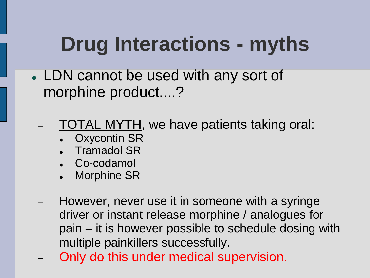# **Drug Interactions - myths**

- LDN cannot be used with any sort of morphine product....?
	- TOTAL MYTH, we have patients taking oral:
		- Oxycontin SR
		- Tramadol SR
		- Co-codamol
		- Morphine SR
	- However, never use it in someone with a syringe driver or instant release morphine / analogues for pain – it is however possible to schedule dosing with multiple painkillers successfully.
	- Only do this under medical supervision.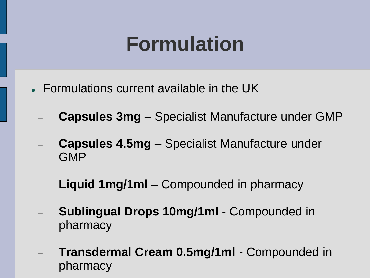#### **Formulation**

- Formulations current available in the UK
	- **Capsules 3mg** Specialist Manufacture under GMP
	- **Capsules 4.5mg**  Specialist Manufacture under GMP
	- **Liquid 1mg/1ml** Compounded in pharmacy
	- **Sublingual Drops 10mg/1ml** Compounded in pharmacy
	- **Transdermal Cream 0.5mg/1ml** Compounded in pharmacy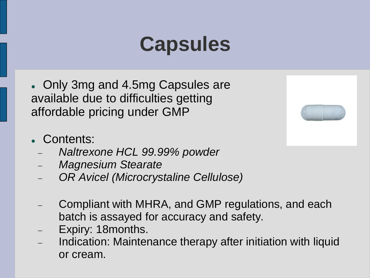### **Capsules**

- Only 3mg and 4.5mg Capsules are available due to difficulties getting affordable pricing under GMP
- Contents:
	- *Naltrexone HCL 99.99% powder*
	- *Magnesium Stearate*
	- *OR Avicel (Microcrystaline Cellulose)*
	- Compliant with MHRA, and GMP regulations, and each batch is assayed for accuracy and safety.
	- Expiry: 18months.
	- Indication: Maintenance therapy after initiation with liquid or cream.

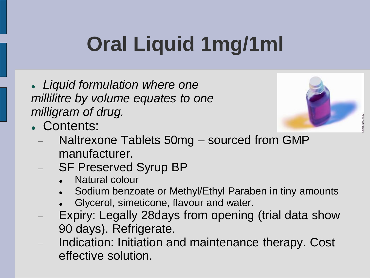# **Oral Liquid 1mg/1ml**

 *Liquid formulation where one millilitre by volume equates to one milligram of drug.*



- Contents:
	- Naltrexone Tablets 50mg sourced from GMP manufacturer.
	- SF Preserved Syrup BP
		- Natural colour
		- Sodium benzoate or Methyl/Ethyl Paraben in tiny amounts
		- Glycerol, simeticone, flavour and water.
	- Expiry: Legally 28days from opening (trial data show 90 days). Refrigerate.
	- Indication: Initiation and maintenance therapy. Cost effective solution.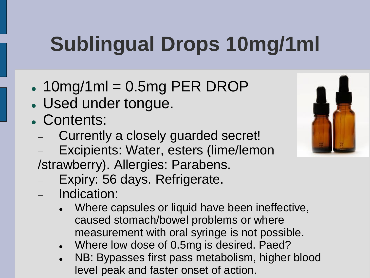# **Sublingual Drops 10mg/1ml**

 $\cdot$  10mg/1ml = 0.5mg PER DROP

- Used under tongue.
- Contents:
	- Currently a closely guarded secret!
	- Excipients: Water, esters (lime/lemon
	- /strawberry). Allergies: Parabens.
	- Expiry: 56 days. Refrigerate.
	- Indication:
		- Where capsules or liquid have been ineffective, caused stomach/bowel problems or where measurement with oral syringe is not possible.
		- Where low dose of 0.5mg is desired. Paed?
		- NB: Bypasses first pass metabolism, higher blood level peak and faster onset of action.

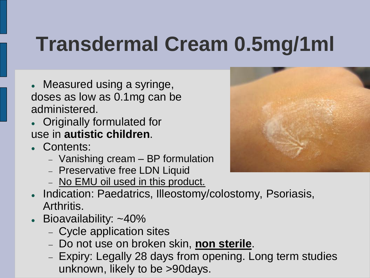## **Transdermal Cream 0.5mg/1ml**

- Measured using a syringe, doses as low as 0.1mg can be administered.
- Originally formulated for use in **autistic children**.
- Contents:
	- Vanishing cream BP formulation
	- Preservative free LDN Liquid
	- No EMU oil used in this product.
- Indication: Paedatrics, Illeostomy/colostomy, Psoriasis, Arthritis.
- Bioavailability: ~40%
	- Cycle application sites
	- Do not use on broken skin, **non sterile**.
	- Expiry: Legally 28 days from opening. Long term studies unknown, likely to be >90days.

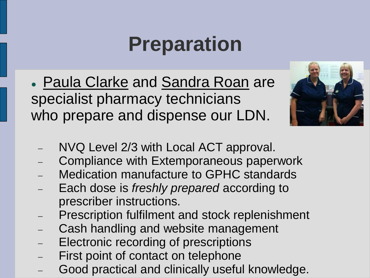#### **Preparation**

 Paula Clarke and Sandra Roan are specialist pharmacy technicians who prepare and dispense our LDN.



- NVQ Level 2/3 with Local ACT approval.
- Compliance with Extemporaneous paperwork
- Medication manufacture to GPHC standards
- Each dose is *freshly prepared* according to prescriber instructions.
- Prescription fulfilment and stock replenishment
- Cash handling and website management
- Electronic recording of prescriptions
- First point of contact on telephone
- Good practical and clinically useful knowledge.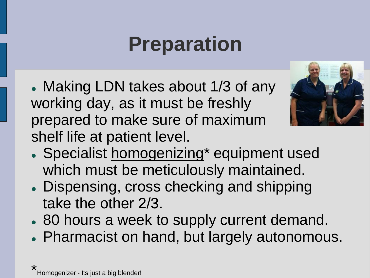### **Preparation**

 Making LDN takes about 1/3 of any working day, as it must be freshly prepared to make sure of maximum shelf life at patient level.



- Specialist homogenizing\* equipment used which must be meticulously maintained.
- Dispensing, cross checking and shipping take the other 2/3.
- 80 hours a week to supply current demand.
- Pharmacist on hand, but largely autonomous.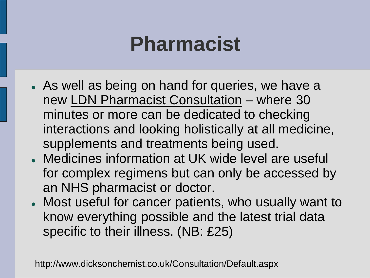#### **Pharmacist**

- As well as being on hand for queries, we have a new LDN Pharmacist Consultation – where 30 minutes or more can be dedicated to checking interactions and looking holistically at all medicine, supplements and treatments being used.
- Medicines information at UK wide level are useful for complex regimens but can only be accessed by an NHS pharmacist or doctor.
- Most useful for cancer patients, who usually want to know everything possible and the latest trial data specific to their illness. (NB: £25)

http://www.dicksonchemist.co.uk/Consultation/Default.aspx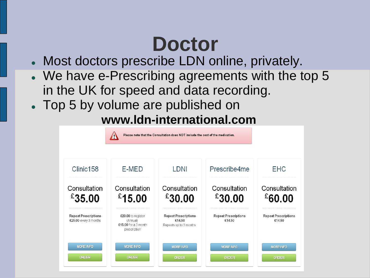# **Doctor**

- Most doctors prescribe LDN online, privately.
- We have e-Prescribing agreements with the top 5 in the UK for speed and data recording.
- Top 5 by volume are published on

#### **www.ldn-international.com**

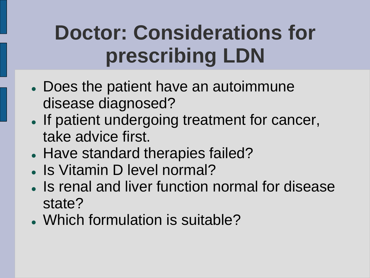- Does the patient have an autoimmune disease diagnosed?
- If patient undergoing treatment for cancer, take advice first.
- Have standard therapies failed?
- . Is Vitamin D level normal?
- Is renal and liver function normal for disease state?
- Which formulation is suitable?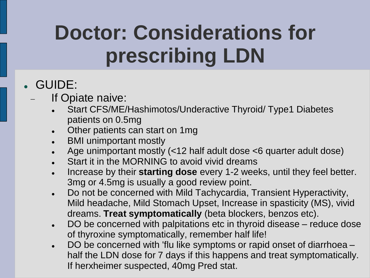#### GUIDE:

#### If Opiate naive:

- Start CFS/ME/Hashimotos/Underactive Thyroid/ Type1 Diabetes patients on 0.5mg
- Other patients can start on 1mg
- BMI unimportant mostly
- Age unimportant mostly (<12 half adult dose <6 quarter adult dose)
- Start it in the MORNING to avoid vivid dreams
- **Increase by their starting dose** every 1-2 weeks, until they feel better. 3mg or 4.5mg is usually a good review point.
- Do not be concerned with Mild Tachycardia, Transient Hyperactivity, Mild headache, Mild Stomach Upset, Increase in spasticity (MS), vivid dreams. **Treat symptomatically** (beta blockers, benzos etc).
- DO be concerned with palpitations etc in thyroid disease reduce dose of thyroxine symptomatically, remember half life!
- DO be concerned with 'flu like symptoms or rapid onset of diarrhoea half the LDN dose for 7 days if this happens and treat symptomatically. If herxheimer suspected, 40mg Pred stat.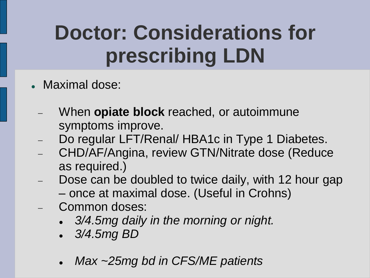- Maximal dose:
	- When **opiate block** reached, or autoimmune symptoms improve.
	- Do regular LFT/Renal/ HBA1c in Type 1 Diabetes.
	- CHD/AF/Angina, review GTN/Nitrate dose (Reduce as required.)
	- Dose can be doubled to twice daily, with 12 hour gap – once at maximal dose. (Useful in Crohns)
	- Common doses:
		- *3/4.5mg daily in the morning or night.*
		- *3/4.5mg BD*
		- *Max ~25mg bd in CFS/ME patients*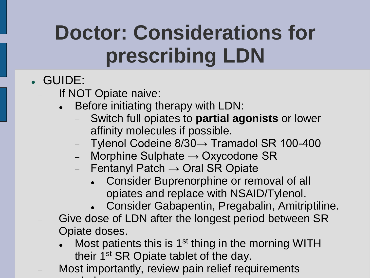- GUIDE:
	- If NOT Opiate naive:
		- Before initiating therapy with LDN:
			- Switch full opiates to **partial agonists** or lower affinity molecules if possible.
			- Tylenol Codeine 8/30→ Tramadol SR 100-400
			- Morphine Sulphate  $\rightarrow$  Oxycodone SR
			- $-$  Fentanyl Patch  $\rightarrow$  Oral SR Opiate
				- Consider Buprenorphine or removal of all opiates and replace with NSAID/Tylenol.
				- Consider Gabapentin, Pregabalin, Amitriptiline.
	- Give dose of LDN after the longest period between SR Opiate doses.
		- Most patients this is 1<sup>st</sup> thing in the morning WITH their 1<sup>st</sup> SR Opiate tablet of the day.
	- Most importantly, review pain relief requirements regularly.